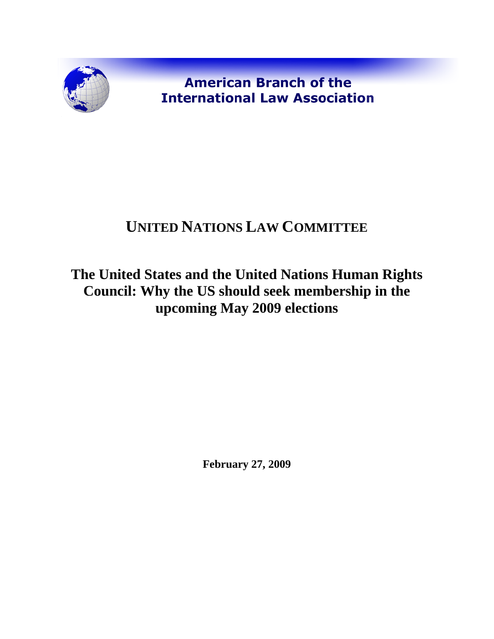

**American Branch of the International Law Association** 

## **UNITED NATIONS LAW COMMITTEE**

## **The United States and the United Nations Human Rights Council: Why the US should seek membership in the upcoming May 2009 elections**

**February 27, 2009**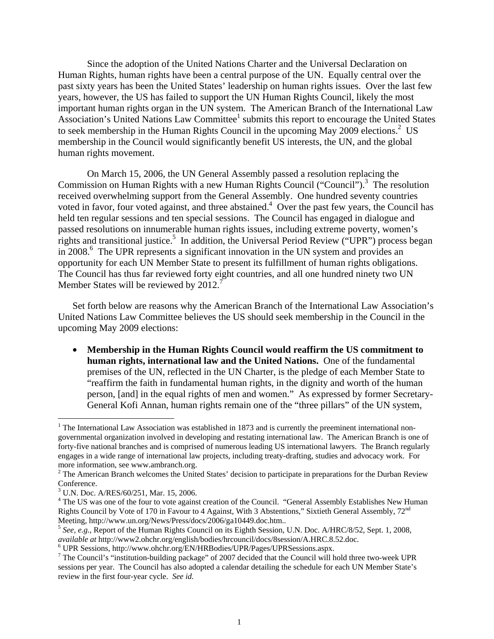Since the adoption of the United Nations Charter and the Universal Declaration on Human Rights, human rights have been a central purpose of the UN. Equally central over the past sixty years has been the United States' leadership on human rights issues. Over the last few years, however, the US has failed to support the UN Human Rights Council, likely the most important human rights organ in the UN system. The American Branch of the International Law Association's United Nations Law Committee<sup>1</sup> submits this report to encourage the United States to seek membership in the Human Rights Council in the upcoming May  $2009$  elections.<sup>2</sup> US membership in the Council would significantly benefit US interests, the UN, and the global human rights movement.

On March 15, 2006, the UN General Assembly passed a resolution replacing the Commission on Human Rights with a new Human Rights Council ("Council").<sup>3</sup> The resolution received overwhelming support from the General Assembly. One hundred seventy countries voted in favor, four voted against, and three abstained. $4$  Over the past few years, the Council has held ten regular sessions and ten special sessions. The Council has engaged in dialogue and passed resolutions on innumerable human rights issues, including extreme poverty, women's rights and transitional justice.<sup>5</sup> In addition, the Universal Period Review ("UPR") process began in 2008.<sup>6</sup> The UPR represents a significant innovation in the UN system and provides an opportunity for each UN Member State to present its fulfillment of human rights obligations. The Council has thus far reviewed forty eight countries, and all one hundred ninety two UN Member States will be reviewed by 2012.<sup>7</sup>

Set forth below are reasons why the American Branch of the International Law Association's United Nations Law Committee believes the US should seek membership in the Council in the upcoming May 2009 elections:

• **Membership in the Human Rights Council would reaffirm the US commitment to human rights, international law and the United Nations.** One of the fundamental premises of the UN, reflected in the UN Charter, is the pledge of each Member State to "reaffirm the faith in fundamental human rights, in the dignity and worth of the human person, [and] in the equal rights of men and women." As expressed by former Secretary-General Kofi Annan, human rights remain one of the "three pillars" of the UN system,

1

<sup>&</sup>lt;sup>1</sup> The International Law Association was established in 1873 and is currently the preeminent international nongovernmental organization involved in developing and restating international law. The American Branch is one of forty-five national branches and is comprised of numerous leading US international lawyers. The Branch regularly engages in a wide range of international law projects, including treaty-drafting, studies and advocacy work. For more information, see www.ambranch.org.

 $2$  The American Branch welcomes the United States' decision to participate in preparations for the Durban Review Conference.

<sup>3</sup> U.N. Doc. A/RES/60/251, Mar. 15, 2006.

<sup>&</sup>lt;sup>4</sup> The US was one of the four to vote against creation of the Council. "General Assembly Establishes New Human Rights Council by Vote of 170 in Favour to 4 Against, With 3 Abstentions," Sixtieth General Assembly, 72nd Meeting, http://www.un.org/News/Press/docs/2006/ga10449.doc.htm..<br><sup>5</sup> *See, e.g.*, Report of the Human Rights Council on its Eighth Session, U.N. Doc. A/HRC/8/52, Sept. 1, 2008,

*available at* http://www2.ohchr.org/english/bodies/hrcouncil/docs/8session/A.HRC.8.52.doc. <sup>6</sup>

UPR Sessions, http://www.ohchr.org/EN/HRBodies/UPR/Pages/UPRSessions.aspx. 7

 $\frac{7}{1}$  The Council's "institution-building package" of 2007 decided that the Council will hold three two-week UPR sessions per year. The Council has also adopted a calendar detailing the schedule for each UN Member State's review in the first four-year cycle. *See id.*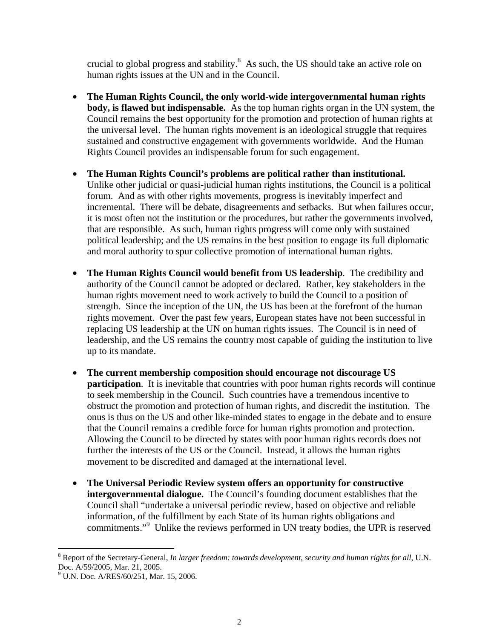crucial to global progress and stability. $8$  As such, the US should take an active role on human rights issues at the UN and in the Council.

- **The Human Rights Council, the only world-wide intergovernmental human rights body, is flawed but indispensable.** As the top human rights organ in the UN system, the Council remains the best opportunity for the promotion and protection of human rights at the universal level. The human rights movement is an ideological struggle that requires sustained and constructive engagement with governments worldwide. And the Human Rights Council provides an indispensable forum for such engagement.
- **The Human Rights Council's problems are political rather than institutional.**  Unlike other judicial or quasi-judicial human rights institutions, the Council is a political forum. And as with other rights movements, progress is inevitably imperfect and incremental. There will be debate, disagreements and setbacks. But when failures occur, it is most often not the institution or the procedures, but rather the governments involved, that are responsible. As such, human rights progress will come only with sustained political leadership; and the US remains in the best position to engage its full diplomatic and moral authority to spur collective promotion of international human rights.
- **The Human Rights Council would benefit from US leadership**. The credibility and authority of the Council cannot be adopted or declared. Rather, key stakeholders in the human rights movement need to work actively to build the Council to a position of strength. Since the inception of the UN, the US has been at the forefront of the human rights movement. Over the past few years, European states have not been successful in replacing US leadership at the UN on human rights issues. The Council is in need of leadership, and the US remains the country most capable of guiding the institution to live up to its mandate.
- **The current membership composition should encourage not discourage US participation**. It is inevitable that countries with poor human rights records will continue to seek membership in the Council. Such countries have a tremendous incentive to obstruct the promotion and protection of human rights, and discredit the institution. The onus is thus on the US and other like-minded states to engage in the debate and to ensure that the Council remains a credible force for human rights promotion and protection. Allowing the Council to be directed by states with poor human rights records does not further the interests of the US or the Council. Instead, it allows the human rights movement to be discredited and damaged at the international level.
- **The Universal Periodic Review system offers an opportunity for constructive intergovernmental dialogue.** The Council's founding document establishes that the Council shall "undertake a universal periodic review, based on objective and reliable information, of the fulfillment by each State of its human rights obligations and commitments."<sup>9</sup> Unlike the reviews performed in UN treaty bodies, the UPR is reserved

 $\overline{a}$ 

<sup>&</sup>lt;sup>8</sup> Report of the Secretary-General, *In larger freedom: towards development, security and human rights for all*, U.N. Doc. A/59/2005, Mar. 21, 2005.

<sup>&</sup>lt;sup>9</sup> U.N. Doc. A/RES/60/251, Mar. 15, 2006.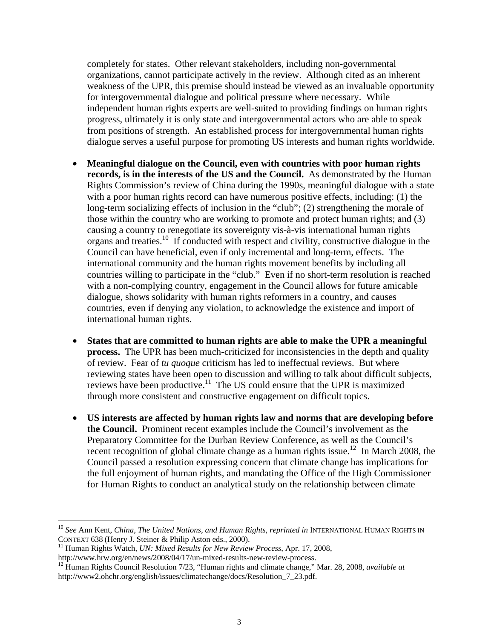completely for states. Other relevant stakeholders, including non-governmental organizations, cannot participate actively in the review. Although cited as an inherent weakness of the UPR, this premise should instead be viewed as an invaluable opportunity for intergovernmental dialogue and political pressure where necessary. While independent human rights experts are well-suited to providing findings on human rights progress, ultimately it is only state and intergovernmental actors who are able to speak from positions of strength. An established process for intergovernmental human rights dialogue serves a useful purpose for promoting US interests and human rights worldwide.

- **Meaningful dialogue on the Council, even with countries with poor human rights records, is in the interests of the US and the Council.** As demonstrated by the Human Rights Commission's review of China during the 1990s, meaningful dialogue with a state with a poor human rights record can have numerous positive effects, including: (1) the long-term socializing effects of inclusion in the "club"; (2) strengthening the morale of those within the country who are working to promote and protect human rights; and (3) causing a country to renegotiate its sovereignty vis-à-vis international human rights organs and treaties.10 If conducted with respect and civility, constructive dialogue in the Council can have beneficial, even if only incremental and long-term, effects. The international community and the human rights movement benefits by including all countries willing to participate in the "club." Even if no short-term resolution is reached with a non-complying country, engagement in the Council allows for future amicable dialogue, shows solidarity with human rights reformers in a country, and causes countries, even if denying any violation, to acknowledge the existence and import of international human rights.
- **States that are committed to human rights are able to make the UPR a meaningful process.** The UPR has been much-criticized for inconsistencies in the depth and quality of review. Fear of *tu quoque* criticism has led to ineffectual reviews. But where reviewing states have been open to discussion and willing to talk about difficult subjects, reviews have been productive.<sup>11</sup> The US could ensure that the UPR is maximized through more consistent and constructive engagement on difficult topics.
- **US interests are affected by human rights law and norms that are developing before the Council.** Prominent recent examples include the Council's involvement as the Preparatory Committee for the Durban Review Conference, as well as the Council's recent recognition of global climate change as a human rights issue.<sup>12</sup> In March 2008, the Council passed a resolution expressing concern that climate change has implications for the full enjoyment of human rights, and mandating the Office of the High Commissioner for Human Rights to conduct an analytical study on the relationship between climate

 $\overline{a}$ 

<sup>&</sup>lt;sup>10</sup> See Ann Kent, *China, The United Nations, and Human Rights, reprinted in* INTERNATIONAL HUMAN RIGHTS IN CONTEXT 638 (Henry J. Steiner & Philip Aston eds., 2000).<br><sup>11</sup> Human Rights Watch, *UN: Mixed Results for New Review Process*, Apr. 17, 2008, http://www.hrw.org/en/news/2008/04/17/un-mixed-results-new-review-process.

<sup>&</sup>lt;sup>12</sup> Human Rights Council Resolution 7/23, "Human rights and climate change," Mar. 28, 2008, *available at* http://www2.ohchr.org/english/issues/climatechange/docs/Resolution\_7\_23.pdf.